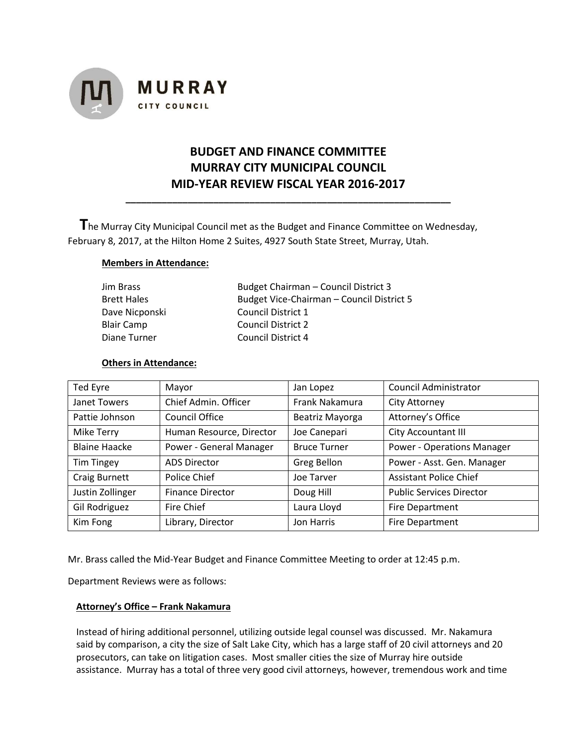

# **BUDGET AND FINANCE COMMITTEE MURRAY CITY MUNICIPAL COUNCIL MID-YEAR REVIEW FISCAL YEAR 2016-2017**

**\_\_\_\_\_\_\_\_\_\_\_\_\_\_\_\_\_\_\_\_\_\_\_\_\_\_\_\_\_\_\_\_\_\_\_\_\_\_\_\_\_\_\_\_\_\_\_\_\_\_\_\_\_\_\_\_\_\_\_\_\_\_\_**

 **T**he Murray City Municipal Council met as the Budget and Finance Committee on Wednesday, February 8, 2017, at the Hilton Home 2 Suites, 4927 South State Street, Murray, Utah.

# **Members in Attendance:**

| Jim Brass          | Budget Chairman - Council District 3      |
|--------------------|-------------------------------------------|
| <b>Brett Hales</b> | Budget Vice-Chairman - Council District 5 |
| Dave Nicponski     | Council District 1                        |
| Blair Camp         | <b>Council District 2</b>                 |
| Diane Turner       | Council District 4                        |

# **Others in Attendance:**

| Ted Eyre             | Mayor                    | Jan Lopez           | Council Administrator             |
|----------------------|--------------------------|---------------------|-----------------------------------|
| Janet Towers         | Chief Admin. Officer     | Frank Nakamura      | City Attorney                     |
| Pattie Johnson       | <b>Council Office</b>    | Beatriz Mayorga     | Attorney's Office                 |
| Mike Terry           | Human Resource, Director | Joe Canepari        | City Accountant III               |
| <b>Blaine Haacke</b> | Power - General Manager  | <b>Bruce Turner</b> | <b>Power - Operations Manager</b> |
| <b>Tim Tingey</b>    | <b>ADS Director</b>      | Greg Bellon         | Power - Asst. Gen. Manager        |
| Craig Burnett        | Police Chief             | Joe Tarver          | <b>Assistant Police Chief</b>     |
| Justin Zollinger     | <b>Finance Director</b>  | Doug Hill           | <b>Public Services Director</b>   |
| Gil Rodriguez        | Fire Chief               | Laura Lloyd         | Fire Department                   |
| Kim Fong             | Library, Director        | Jon Harris          | <b>Fire Department</b>            |

Mr. Brass called the Mid-Year Budget and Finance Committee Meeting to order at 12:45 p.m.

Department Reviews were as follows:

## **Attorney's Office – Frank Nakamura**

Instead of hiring additional personnel, utilizing outside legal counsel was discussed. Mr. Nakamura said by comparison, a city the size of Salt Lake City, which has a large staff of 20 civil attorneys and 20 prosecutors, can take on litigation cases. Most smaller cities the size of Murray hire outside assistance. Murray has a total of three very good civil attorneys, however, tremendous work and time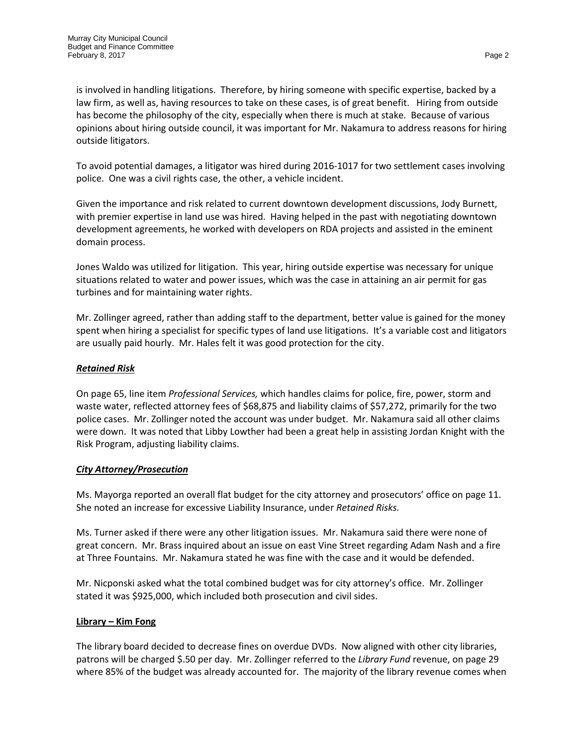is involved in handling litigations. Therefore, by hiring someone with specific expertise, backed by a law firm, as well as, having resources to take on these cases, is of great benefit. Hiring from outside has become the philosophy of the city, especially when there is much at stake. Because of various opinions about hiring outside council, it was important for Mr. Nakamura to address reasons for hiring outside litigators.

To avoid potential damages, a litigator was hired during 2016-1017 for two settlement cases involving police. One was a civil rights case, the other, a vehicle incident.

Given the importance and risk related to current downtown development discussions, Jody Burnett, with premier expertise in land use was hired. Having helped in the past with negotiating downtown development agreements, he worked with developers on RDA projects and assisted in the eminent domain process.

Jones Waldo was utilized for litigation. This year, hiring outside expertise was necessary for unique situations related to water and power issues, which was the case in attaining an air permit for gas turbines and for maintaining water rights.

Mr. Zollinger agreed, rather than adding staff to the department, better value is gained for the money spent when hiring a specialist for specific types of land use litigations. It's a variable cost and litigators are usually paid hourly. Mr. Hales felt it was good protection for the city.

# *Retained Risk*

On page 65, line item *Professional Services,* which handles claims for police, fire, power, storm and waste water, reflected attorney fees of \$68,875 and liability claims of \$57,272, primarily for the two police cases. Mr. Zollinger noted the account was under budget. Mr. Nakamura said all other claims were down. It was noted that Libby Lowther had been a great help in assisting Jordan Knight with the Risk Program, adjusting liability claims.

## *City Attorney/Prosecution*

Ms. Mayorga reported an overall flat budget for the city attorney and prosecutors' office on page 11. She noted an increase for excessive Liability Insurance, under *Retained Risks.* 

Ms. Turner asked if there were any other litigation issues. Mr. Nakamura said there were none of great concern. Mr. Brass inquired about an issue on east Vine Street regarding Adam Nash and a fire at Three Fountains. Mr. Nakamura stated he was fine with the case and it would be defended.

Mr. Nicponski asked what the total combined budget was for city attorney's office. Mr. Zollinger stated it was \$925,000, which included both prosecution and civil sides.

## **Library – Kim Fong**

The library board decided to decrease fines on overdue DVDs. Now aligned with other city libraries, patrons will be charged \$.50 per day. Mr. Zollinger referred to the *Library Fund* revenue, on page 29 where 85% of the budget was already accounted for. The majority of the library revenue comes when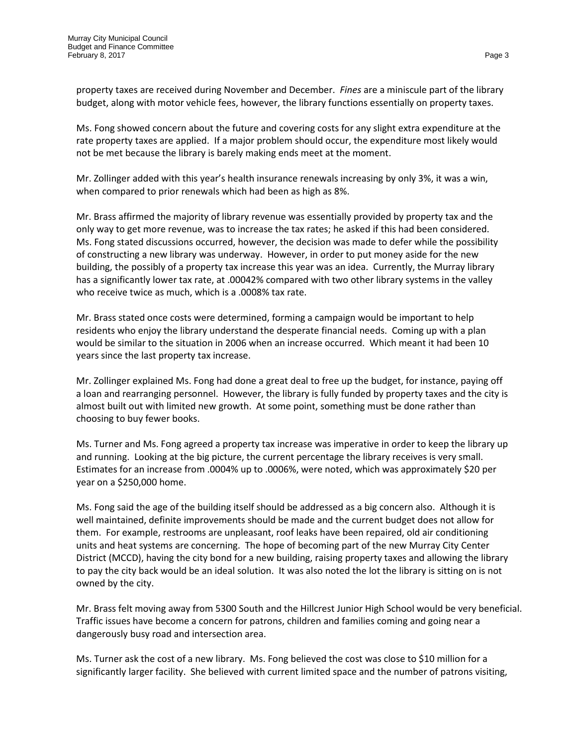property taxes are received during November and December. *Fines* are a miniscule part of the library budget, along with motor vehicle fees, however, the library functions essentially on property taxes.

Ms. Fong showed concern about the future and covering costs for any slight extra expenditure at the rate property taxes are applied. If a major problem should occur, the expenditure most likely would not be met because the library is barely making ends meet at the moment.

Mr. Zollinger added with this year's health insurance renewals increasing by only 3%, it was a win, when compared to prior renewals which had been as high as 8%.

Mr. Brass affirmed the majority of library revenue was essentially provided by property tax and the only way to get more revenue, was to increase the tax rates; he asked if this had been considered. Ms. Fong stated discussions occurred, however, the decision was made to defer while the possibility of constructing a new library was underway. However, in order to put money aside for the new building, the possibly of a property tax increase this year was an idea. Currently, the Murray library has a significantly lower tax rate, at .00042% compared with two other library systems in the valley who receive twice as much, which is a .0008% tax rate.

Mr. Brass stated once costs were determined, forming a campaign would be important to help residents who enjoy the library understand the desperate financial needs. Coming up with a plan would be similar to the situation in 2006 when an increase occurred. Which meant it had been 10 years since the last property tax increase.

Mr. Zollinger explained Ms. Fong had done a great deal to free up the budget, for instance, paying off a loan and rearranging personnel. However, the library is fully funded by property taxes and the city is almost built out with limited new growth. At some point, something must be done rather than choosing to buy fewer books.

Ms. Turner and Ms. Fong agreed a property tax increase was imperative in order to keep the library up and running. Looking at the big picture, the current percentage the library receives is very small. Estimates for an increase from .0004% up to .0006%, were noted, which was approximately \$20 per year on a \$250,000 home.

Ms. Fong said the age of the building itself should be addressed as a big concern also. Although it is well maintained, definite improvements should be made and the current budget does not allow for them. For example, restrooms are unpleasant, roof leaks have been repaired, old air conditioning units and heat systems are concerning. The hope of becoming part of the new Murray City Center District (MCCD), having the city bond for a new building, raising property taxes and allowing the library to pay the city back would be an ideal solution. It was also noted the lot the library is sitting on is not owned by the city.

Mr. Brass felt moving away from 5300 South and the Hillcrest Junior High School would be very beneficial. Traffic issues have become a concern for patrons, children and families coming and going near a dangerously busy road and intersection area.

Ms. Turner ask the cost of a new library. Ms. Fong believed the cost was close to \$10 million for a significantly larger facility. She believed with current limited space and the number of patrons visiting,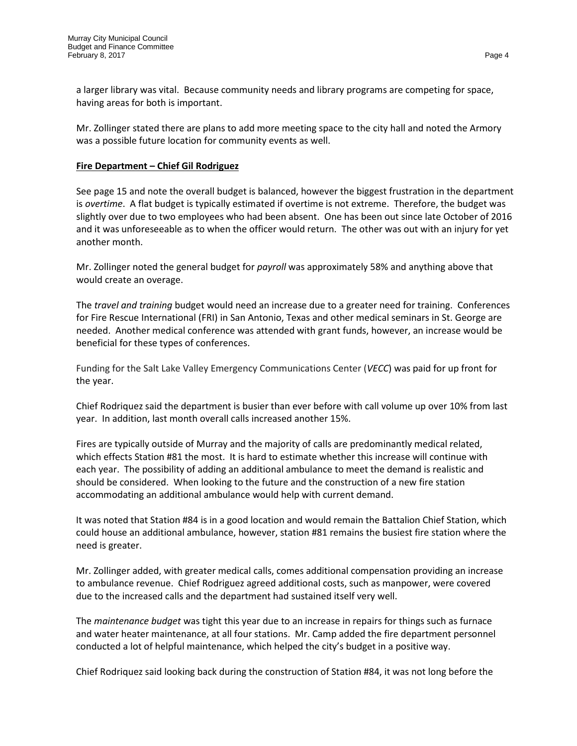a larger library was vital. Because community needs and library programs are competing for space, having areas for both is important.

Mr. Zollinger stated there are plans to add more meeting space to the city hall and noted the Armory was a possible future location for community events as well.

#### **Fire Department – Chief Gil Rodriguez**

See page 15 and note the overall budget is balanced, however the biggest frustration in the department is *overtime*. A flat budget is typically estimated if overtime is not extreme. Therefore, the budget was slightly over due to two employees who had been absent. One has been out since late October of 2016 and it was unforeseeable as to when the officer would return. The other was out with an injury for yet another month.

Mr. Zollinger noted the general budget for *payroll* was approximately 58% and anything above that would create an overage.

The *travel and training* budget would need an increase due to a greater need for training. Conferences for Fire Rescue International (FRI) in San Antonio, Texas and other medical seminars in St. George are needed. Another medical conference was attended with grant funds, however, an increase would be beneficial for these types of conferences.

Funding for the Salt Lake Valley Emergency Communications Center (*VECC*) was paid for up front for the year.

Chief Rodriquez said the department is busier than ever before with call volume up over 10% from last year. In addition, last month overall calls increased another 15%.

Fires are typically outside of Murray and the majority of calls are predominantly medical related, which effects Station #81 the most. It is hard to estimate whether this increase will continue with each year. The possibility of adding an additional ambulance to meet the demand is realistic and should be considered. When looking to the future and the construction of a new fire station accommodating an additional ambulance would help with current demand.

It was noted that Station #84 is in a good location and would remain the Battalion Chief Station, which could house an additional ambulance, however, station #81 remains the busiest fire station where the need is greater.

Mr. Zollinger added, with greater medical calls, comes additional compensation providing an increase to ambulance revenue. Chief Rodriguez agreed additional costs, such as manpower, were covered due to the increased calls and the department had sustained itself very well.

The *maintenance budget* was tight this year due to an increase in repairs for things such as furnace and water heater maintenance, at all four stations. Mr. Camp added the fire department personnel conducted a lot of helpful maintenance, which helped the city's budget in a positive way.

Chief Rodriquez said looking back during the construction of Station #84, it was not long before the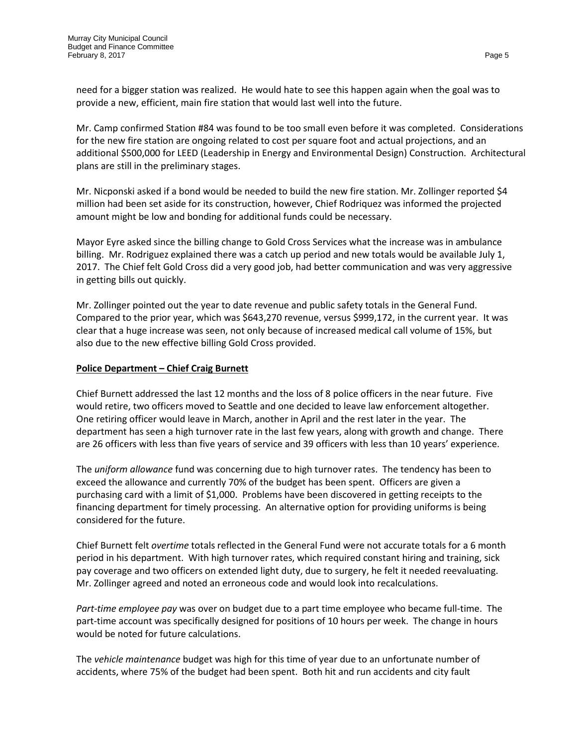need for a bigger station was realized. He would hate to see this happen again when the goal was to provide a new, efficient, main fire station that would last well into the future.

Mr. Camp confirmed Station #84 was found to be too small even before it was completed. Considerations for the new fire station are ongoing related to cost per square foot and actual projections, and an additional \$500,000 for LEED (Leadership in Energy and Environmental Design) Construction. Architectural plans are still in the preliminary stages.

Mr. Nicponski asked if a bond would be needed to build the new fire station. Mr. Zollinger reported \$4 million had been set aside for its construction, however, Chief Rodriquez was informed the projected amount might be low and bonding for additional funds could be necessary.

Mayor Eyre asked since the billing change to Gold Cross Services what the increase was in ambulance billing. Mr. Rodriguez explained there was a catch up period and new totals would be available July 1, 2017. The Chief felt Gold Cross did a very good job, had better communication and was very aggressive in getting bills out quickly.

Mr. Zollinger pointed out the year to date revenue and public safety totals in the General Fund. Compared to the prior year, which was \$643,270 revenue, versus \$999,172, in the current year. It was clear that a huge increase was seen, not only because of increased medical call volume of 15%, but also due to the new effective billing Gold Cross provided.

## **Police Department – Chief Craig Burnett**

Chief Burnett addressed the last 12 months and the loss of 8 police officers in the near future. Five would retire, two officers moved to Seattle and one decided to leave law enforcement altogether. One retiring officer would leave in March, another in April and the rest later in the year. The department has seen a high turnover rate in the last few years, along with growth and change. There are 26 officers with less than five years of service and 39 officers with less than 10 years' experience.

The *uniform allowance* fund was concerning due to high turnover rates. The tendency has been to exceed the allowance and currently 70% of the budget has been spent. Officers are given a purchasing card with a limit of \$1,000. Problems have been discovered in getting receipts to the financing department for timely processing. An alternative option for providing uniforms is being considered for the future.

Chief Burnett felt *overtime* totals reflected in the General Fund were not accurate totals for a 6 month period in his department. With high turnover rates, which required constant hiring and training, sick pay coverage and two officers on extended light duty, due to surgery, he felt it needed reevaluating. Mr. Zollinger agreed and noted an erroneous code and would look into recalculations.

*Part-time employee pay* was over on budget due to a part time employee who became full-time. The part-time account was specifically designed for positions of 10 hours per week. The change in hours would be noted for future calculations.

The *vehicle maintenance* budget was high for this time of year due to an unfortunate number of accidents, where 75% of the budget had been spent. Both hit and run accidents and city fault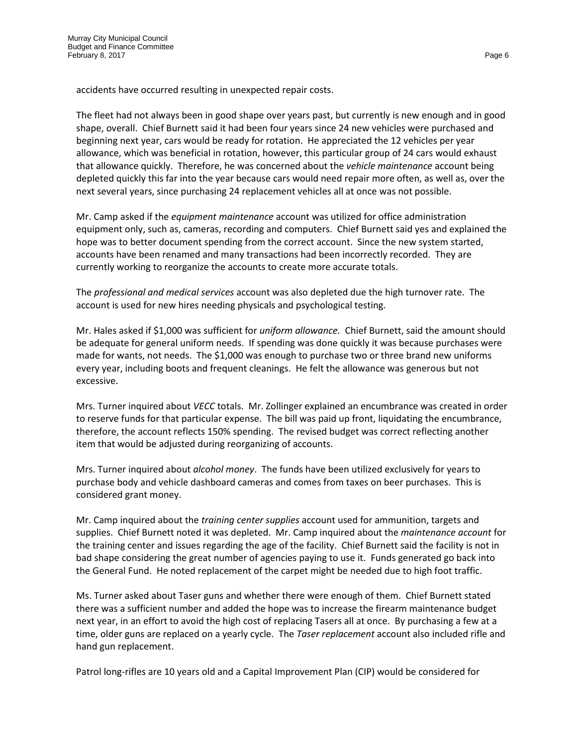accidents have occurred resulting in unexpected repair costs.

The fleet had not always been in good shape over years past, but currently is new enough and in good shape, overall. Chief Burnett said it had been four years since 24 new vehicles were purchased and beginning next year, cars would be ready for rotation. He appreciated the 12 vehicles per year allowance, which was beneficial in rotation, however, this particular group of 24 cars would exhaust that allowance quickly. Therefore, he was concerned about the *vehicle maintenance* account being depleted quickly this far into the year because cars would need repair more often, as well as, over the next several years, since purchasing 24 replacement vehicles all at once was not possible.

Mr. Camp asked if the *equipment maintenance* account was utilized for office administration equipment only, such as, cameras, recording and computers. Chief Burnett said yes and explained the hope was to better document spending from the correct account. Since the new system started, accounts have been renamed and many transactions had been incorrectly recorded. They are currently working to reorganize the accounts to create more accurate totals.

The *professional and medical services* account was also depleted due the high turnover rate. The account is used for new hires needing physicals and psychological testing.

Mr. Hales asked if \$1,000 was sufficient for *uniform allowance.* Chief Burnett, said the amount should be adequate for general uniform needs. If spending was done quickly it was because purchases were made for wants, not needs. The \$1,000 was enough to purchase two or three brand new uniforms every year, including boots and frequent cleanings. He felt the allowance was generous but not excessive.

Mrs. Turner inquired about *VECC* totals. Mr. Zollinger explained an encumbrance was created in order to reserve funds for that particular expense. The bill was paid up front, liquidating the encumbrance, therefore, the account reflects 150% spending. The revised budget was correct reflecting another item that would be adjusted during reorganizing of accounts.

Mrs. Turner inquired about *alcohol money*. The funds have been utilized exclusively for years to purchase body and vehicle dashboard cameras and comes from taxes on beer purchases. This is considered grant money.

Mr. Camp inquired about the *training center supplies* account used for ammunition, targets and supplies. Chief Burnett noted it was depleted. Mr. Camp inquired about the *maintenance account* for the training center and issues regarding the age of the facility. Chief Burnett said the facility is not in bad shape considering the great number of agencies paying to use it. Funds generated go back into the General Fund. He noted replacement of the carpet might be needed due to high foot traffic.

Ms. Turner asked about Taser guns and whether there were enough of them. Chief Burnett stated there was a sufficient number and added the hope was to increase the firearm maintenance budget next year, in an effort to avoid the high cost of replacing Tasers all at once. By purchasing a few at a time, older guns are replaced on a yearly cycle. The *Taser replacement* account also included rifle and hand gun replacement.

Patrol long-rifles are 10 years old and a Capital Improvement Plan (CIP) would be considered for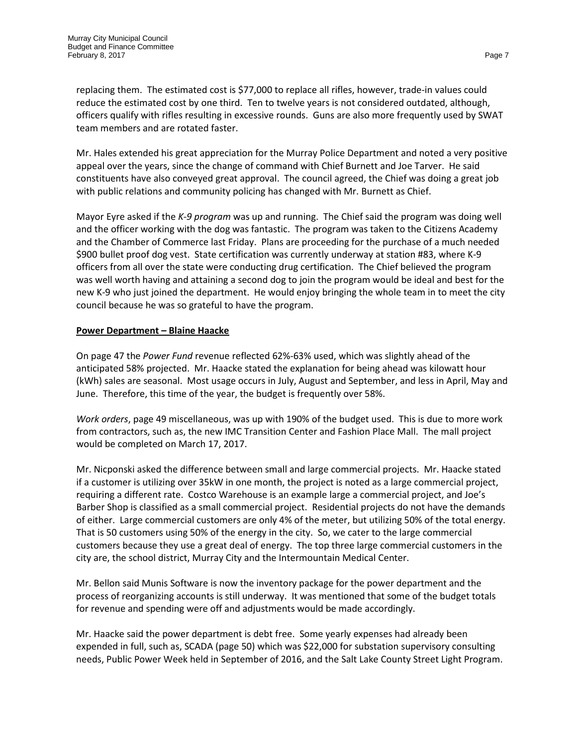replacing them. The estimated cost is \$77,000 to replace all rifles, however, trade-in values could reduce the estimated cost by one third. Ten to twelve years is not considered outdated, although, officers qualify with rifles resulting in excessive rounds. Guns are also more frequently used by SWAT team members and are rotated faster.

Mr. Hales extended his great appreciation for the Murray Police Department and noted a very positive appeal over the years, since the change of command with Chief Burnett and Joe Tarver. He said constituents have also conveyed great approval. The council agreed, the Chief was doing a great job with public relations and community policing has changed with Mr. Burnett as Chief.

Mayor Eyre asked if the *K-9 program* was up and running. The Chief said the program was doing well and the officer working with the dog was fantastic. The program was taken to the Citizens Academy and the Chamber of Commerce last Friday. Plans are proceeding for the purchase of a much needed \$900 bullet proof dog vest. State certification was currently underway at station #83, where K-9 officers from all over the state were conducting drug certification. The Chief believed the program was well worth having and attaining a second dog to join the program would be ideal and best for the new K-9 who just joined the department. He would enjoy bringing the whole team in to meet the city council because he was so grateful to have the program.

## **Power Department – Blaine Haacke**

On page 47 the *Power Fund* revenue reflected 62%-63% used, which was slightly ahead of the anticipated 58% projected. Mr. Haacke stated the explanation for being ahead was kilowatt hour (kWh) sales are seasonal. Most usage occurs in July, August and September, and less in April, May and June. Therefore, this time of the year, the budget is frequently over 58%.

*Work orders*, page 49 miscellaneous, was up with 190% of the budget used. This is due to more work from contractors, such as, the new IMC Transition Center and Fashion Place Mall. The mall project would be completed on March 17, 2017.

Mr. Nicponski asked the difference between small and large commercial projects. Mr. Haacke stated if a customer is utilizing over 35kW in one month, the project is noted as a large commercial project, requiring a different rate. Costco Warehouse is an example large a commercial project, and Joe's Barber Shop is classified as a small commercial project. Residential projects do not have the demands of either. Large commercial customers are only 4% of the meter, but utilizing 50% of the total energy. That is 50 customers using 50% of the energy in the city. So, we cater to the large commercial customers because they use a great deal of energy. The top three large commercial customers in the city are, the school district, Murray City and the Intermountain Medical Center.

Mr. Bellon said Munis Software is now the inventory package for the power department and the process of reorganizing accounts is still underway. It was mentioned that some of the budget totals for revenue and spending were off and adjustments would be made accordingly.

Mr. Haacke said the power department is debt free. Some yearly expenses had already been expended in full, such as, SCADA (page 50) which was \$22,000 for substation supervisory consulting needs, Public Power Week held in September of 2016, and the Salt Lake County Street Light Program.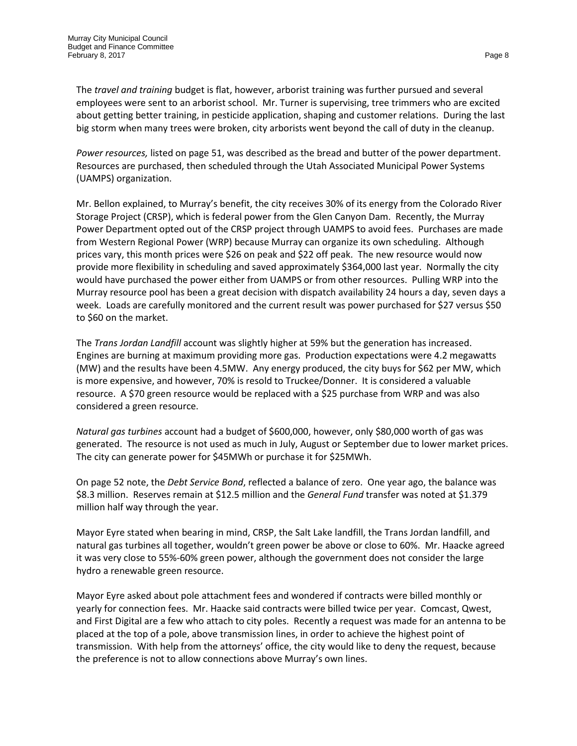The *travel and training* budget is flat, however, arborist training was further pursued and several employees were sent to an arborist school. Mr. Turner is supervising, tree trimmers who are excited about getting better training, in pesticide application, shaping and customer relations. During the last big storm when many trees were broken, city arborists went beyond the call of duty in the cleanup.

*Power resources,* listed on page 51, was described as the bread and butter of the power department. Resources are purchased, then scheduled through the Utah Associated Municipal Power Systems (UAMPS) organization.

Mr. Bellon explained, to Murray's benefit, the city receives 30% of its energy from the Colorado River Storage Project (CRSP), which is federal power from the Glen Canyon Dam. Recently, the Murray Power Department opted out of the CRSP project through UAMPS to avoid fees. Purchases are made from Western Regional Power (WRP) because Murray can organize its own scheduling. Although prices vary, this month prices were \$26 on peak and \$22 off peak. The new resource would now provide more flexibility in scheduling and saved approximately \$364,000 last year. Normally the city would have purchased the power either from UAMPS or from other resources. Pulling WRP into the Murray resource pool has been a great decision with dispatch availability 24 hours a day, seven days a week. Loads are carefully monitored and the current result was power purchased for \$27 versus \$50 to \$60 on the market.

The *Trans Jordan Landfill* account was slightly higher at 59% but the generation has increased. Engines are burning at maximum providing more gas. Production expectations were 4.2 megawatts (MW) and the results have been 4.5MW. Any energy produced, the city buys for \$62 per MW, which is more expensive, and however, 70% is resold to Truckee/Donner. It is considered a valuable resource. A \$70 green resource would be replaced with a \$25 purchase from WRP and was also considered a green resource.

*Natural gas turbines* account had a budget of \$600,000, however, only \$80,000 worth of gas was generated. The resource is not used as much in July, August or September due to lower market prices. The city can generate power for \$45MWh or purchase it for \$25MWh.

On page 52 note, the *Debt Service Bond*, reflected a balance of zero. One year ago, the balance was \$8.3 million. Reserves remain at \$12.5 million and the *General Fund* transfer was noted at \$1.379 million half way through the year.

Mayor Eyre stated when bearing in mind, CRSP, the Salt Lake landfill, the Trans Jordan landfill, and natural gas turbines all together, wouldn't green power be above or close to 60%. Mr. Haacke agreed it was very close to 55%-60% green power, although the government does not consider the large hydro a renewable green resource.

Mayor Eyre asked about pole attachment fees and wondered if contracts were billed monthly or yearly for connection fees. Mr. Haacke said contracts were billed twice per year. Comcast, Qwest, and First Digital are a few who attach to city poles. Recently a request was made for an antenna to be placed at the top of a pole, above transmission lines, in order to achieve the highest point of transmission. With help from the attorneys' office, the city would like to deny the request, because the preference is not to allow connections above Murray's own lines.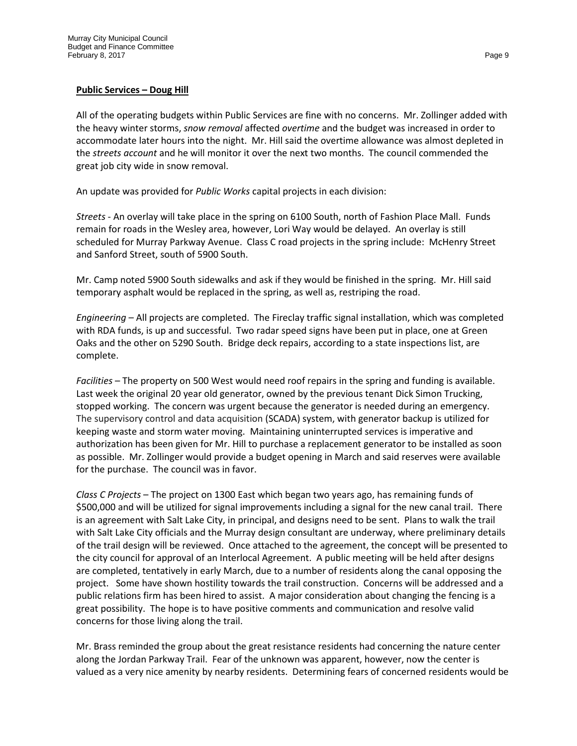## **Public Services – Doug Hill**

All of the operating budgets within Public Services are fine with no concerns. Mr. Zollinger added with the heavy winter storms, *snow removal* affected *overtime* and the budget was increased in order to accommodate later hours into the night. Mr. Hill said the overtime allowance was almost depleted in the *streets account* and he will monitor it over the next two months. The council commended the great job city wide in snow removal.

An update was provided for *Public Works* capital projects in each division:

*Streets* - An overlay will take place in the spring on 6100 South, north of Fashion Place Mall. Funds remain for roads in the Wesley area, however, Lori Way would be delayed. An overlay is still scheduled for Murray Parkway Avenue. Class C road projects in the spring include: McHenry Street and Sanford Street, south of 5900 South.

Mr. Camp noted 5900 South sidewalks and ask if they would be finished in the spring. Mr. Hill said temporary asphalt would be replaced in the spring, as well as, restriping the road.

*Engineering* – All projects are completed. The Fireclay traffic signal installation, which was completed with RDA funds, is up and successful. Two radar speed signs have been put in place, one at Green Oaks and the other on 5290 South. Bridge deck repairs, according to a state inspections list, are complete.

*Facilities* – The property on 500 West would need roof repairs in the spring and funding is available. Last week the original 20 year old generator, owned by the previous tenant Dick Simon Trucking, stopped working. The concern was urgent because the generator is needed during an emergency. The supervisory control and data acquisition (SCADA) system, with generator backup is utilized for keeping waste and storm water moving. Maintaining uninterrupted services is imperative and authorization has been given for Mr. Hill to purchase a replacement generator to be installed as soon as possible. Mr. Zollinger would provide a budget opening in March and said reserves were available for the purchase. The council was in favor.

*Class C Projects* – The project on 1300 East which began two years ago, has remaining funds of \$500,000 and will be utilized for signal improvements including a signal for the new canal trail. There is an agreement with Salt Lake City, in principal, and designs need to be sent. Plans to walk the trail with Salt Lake City officials and the Murray design consultant are underway, where preliminary details of the trail design will be reviewed. Once attached to the agreement, the concept will be presented to the city council for approval of an Interlocal Agreement. A public meeting will be held after designs are completed, tentatively in early March, due to a number of residents along the canal opposing the project. Some have shown hostility towards the trail construction. Concerns will be addressed and a public relations firm has been hired to assist. A major consideration about changing the fencing is a great possibility. The hope is to have positive comments and communication and resolve valid concerns for those living along the trail.

Mr. Brass reminded the group about the great resistance residents had concerning the nature center along the Jordan Parkway Trail. Fear of the unknown was apparent, however, now the center is valued as a very nice amenity by nearby residents. Determining fears of concerned residents would be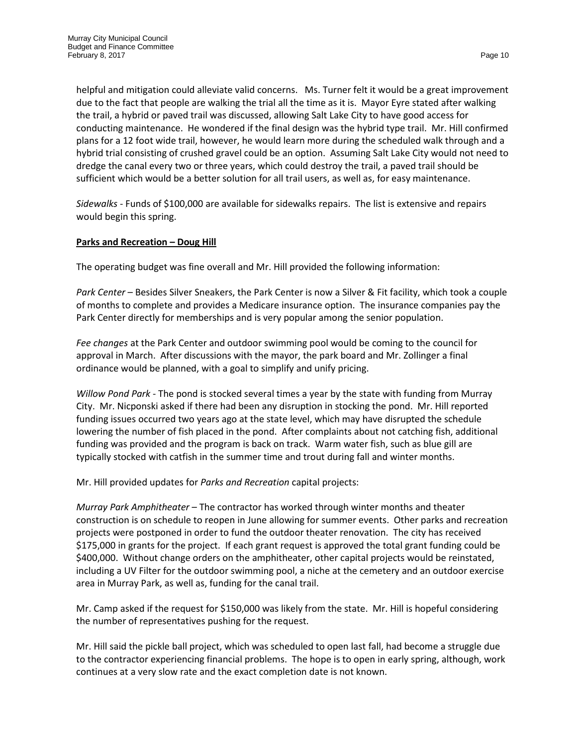helpful and mitigation could alleviate valid concerns. Ms. Turner felt it would be a great improvement due to the fact that people are walking the trial all the time as it is. Mayor Eyre stated after walking the trail, a hybrid or paved trail was discussed, allowing Salt Lake City to have good access for conducting maintenance. He wondered if the final design was the hybrid type trail. Mr. Hill confirmed plans for a 12 foot wide trail, however, he would learn more during the scheduled walk through and a hybrid trial consisting of crushed gravel could be an option. Assuming Salt Lake City would not need to dredge the canal every two or three years, which could destroy the trail, a paved trail should be sufficient which would be a better solution for all trail users, as well as, for easy maintenance.

*Sidewalks* - Funds of \$100,000 are available for sidewalks repairs. The list is extensive and repairs would begin this spring.

## **Parks and Recreation – Doug Hill**

The operating budget was fine overall and Mr. Hill provided the following information:

*Park Center* – Besides Silver Sneakers, the Park Center is now a Silver & Fit facility, which took a couple of months to complete and provides a Medicare insurance option. The insurance companies pay the Park Center directly for memberships and is very popular among the senior population.

*Fee changes* at the Park Center and outdoor swimming pool would be coming to the council for approval in March. After discussions with the mayor, the park board and Mr. Zollinger a final ordinance would be planned, with a goal to simplify and unify pricing.

*Willow Pond Park* - The pond is stocked several times a year by the state with funding from Murray City. Mr. Nicponski asked if there had been any disruption in stocking the pond. Mr. Hill reported funding issues occurred two years ago at the state level, which may have disrupted the schedule lowering the number of fish placed in the pond. After complaints about not catching fish, additional funding was provided and the program is back on track. Warm water fish, such as blue gill are typically stocked with catfish in the summer time and trout during fall and winter months.

Mr. Hill provided updates for *Parks and Recreation* capital projects:

*Murray Park Amphitheater* – The contractor has worked through winter months and theater construction is on schedule to reopen in June allowing for summer events. Other parks and recreation projects were postponed in order to fund the outdoor theater renovation. The city has received \$175,000 in grants for the project. If each grant request is approved the total grant funding could be \$400,000. Without change orders on the amphitheater, other capital projects would be reinstated, including a UV Filter for the outdoor swimming pool, a niche at the cemetery and an outdoor exercise area in Murray Park, as well as, funding for the canal trail.

Mr. Camp asked if the request for \$150,000 was likely from the state. Mr. Hill is hopeful considering the number of representatives pushing for the request.

Mr. Hill said the pickle ball project, which was scheduled to open last fall, had become a struggle due to the contractor experiencing financial problems. The hope is to open in early spring, although, work continues at a very slow rate and the exact completion date is not known.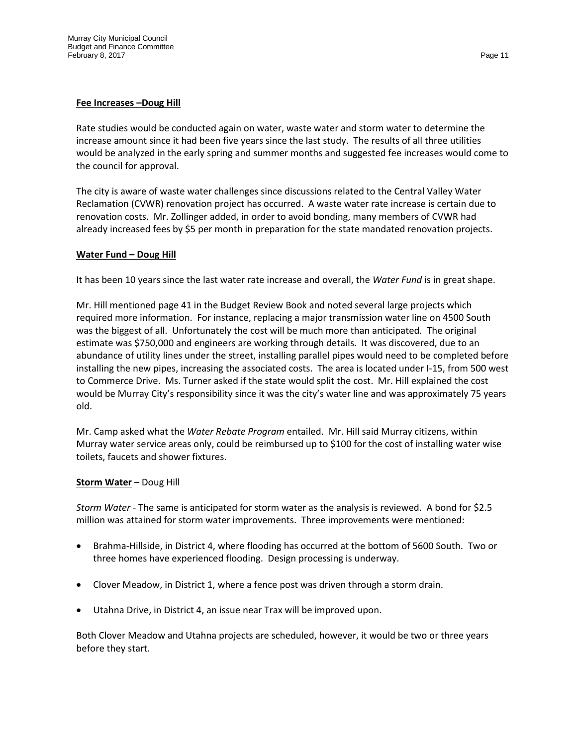#### **Fee Increases –Doug Hill**

Rate studies would be conducted again on water, waste water and storm water to determine the increase amount since it had been five years since the last study. The results of all three utilities would be analyzed in the early spring and summer months and suggested fee increases would come to the council for approval.

The city is aware of waste water challenges since discussions related to the Central Valley Water Reclamation (CVWR) renovation project has occurred. A waste water rate increase is certain due to renovation costs. Mr. Zollinger added, in order to avoid bonding, many members of CVWR had already increased fees by \$5 per month in preparation for the state mandated renovation projects.

#### **Water Fund – Doug Hill**

It has been 10 years since the last water rate increase and overall, the *Water Fund* is in great shape.

Mr. Hill mentioned page 41 in the Budget Review Book and noted several large projects which required more information. For instance, replacing a major transmission water line on 4500 South was the biggest of all. Unfortunately the cost will be much more than anticipated. The original estimate was \$750,000 and engineers are working through details. It was discovered, due to an abundance of utility lines under the street, installing parallel pipes would need to be completed before installing the new pipes, increasing the associated costs. The area is located under I-15, from 500 west to Commerce Drive. Ms. Turner asked if the state would split the cost. Mr. Hill explained the cost would be Murray City's responsibility since it was the city's water line and was approximately 75 years old.

Mr. Camp asked what the *Water Rebate Program* entailed. Mr. Hill said Murray citizens, within Murray water service areas only, could be reimbursed up to \$100 for the cost of installing water wise toilets, faucets and shower fixtures.

## **Storm Water** – Doug Hill

*Storm Water* - The same is anticipated for storm water as the analysis is reviewed. A bond for \$2.5 million was attained for storm water improvements. Three improvements were mentioned:

- Brahma-Hillside, in District 4, where flooding has occurred at the bottom of 5600 South. Two or three homes have experienced flooding. Design processing is underway.
- Clover Meadow, in District 1, where a fence post was driven through a storm drain.
- Utahna Drive, in District 4, an issue near Trax will be improved upon.

Both Clover Meadow and Utahna projects are scheduled, however, it would be two or three years before they start.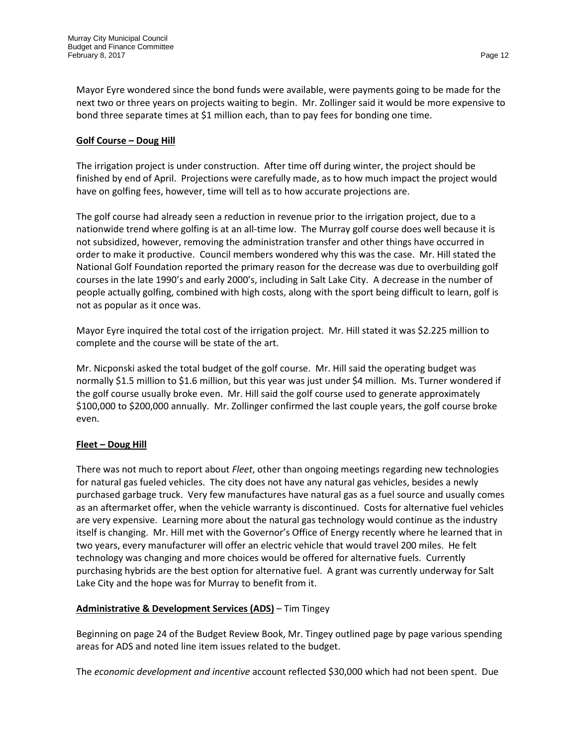Mayor Eyre wondered since the bond funds were available, were payments going to be made for the next two or three years on projects waiting to begin. Mr. Zollinger said it would be more expensive to bond three separate times at \$1 million each, than to pay fees for bonding one time.

#### **Golf Course – Doug Hill**

The irrigation project is under construction. After time off during winter, the project should be finished by end of April. Projections were carefully made, as to how much impact the project would have on golfing fees, however, time will tell as to how accurate projections are.

The golf course had already seen a reduction in revenue prior to the irrigation project, due to a nationwide trend where golfing is at an all-time low. The Murray golf course does well because it is not subsidized, however, removing the administration transfer and other things have occurred in order to make it productive. Council members wondered why this was the case. Mr. Hill stated the National Golf Foundation reported the primary reason for the decrease was due to overbuilding golf courses in the late 1990's and early 2000's, including in Salt Lake City. A decrease in the number of people actually golfing, combined with high costs, along with the sport being difficult to learn, golf is not as popular as it once was.

Mayor Eyre inquired the total cost of the irrigation project. Mr. Hill stated it was \$2.225 million to complete and the course will be state of the art.

Mr. Nicponski asked the total budget of the golf course. Mr. Hill said the operating budget was normally \$1.5 million to \$1.6 million, but this year was just under \$4 million. Ms. Turner wondered if the golf course usually broke even. Mr. Hill said the golf course used to generate approximately \$100,000 to \$200,000 annually. Mr. Zollinger confirmed the last couple years, the golf course broke even.

## **Fleet – Doug Hill**

There was not much to report about *Fleet*, other than ongoing meetings regarding new technologies for natural gas fueled vehicles. The city does not have any natural gas vehicles, besides a newly purchased garbage truck. Very few manufactures have natural gas as a fuel source and usually comes as an aftermarket offer, when the vehicle warranty is discontinued. Costs for alternative fuel vehicles are very expensive. Learning more about the natural gas technology would continue as the industry itself is changing. Mr. Hill met with the Governor's Office of Energy recently where he learned that in two years, every manufacturer will offer an electric vehicle that would travel 200 miles. He felt technology was changing and more choices would be offered for alternative fuels. Currently purchasing hybrids are the best option for alternative fuel. A grant was currently underway for Salt Lake City and the hope was for Murray to benefit from it.

## **Administrative & Development Services (ADS)** – Tim Tingey

Beginning on page 24 of the Budget Review Book, Mr. Tingey outlined page by page various spending areas for ADS and noted line item issues related to the budget.

The *economic development and incentive* account reflected \$30,000 which had not been spent. Due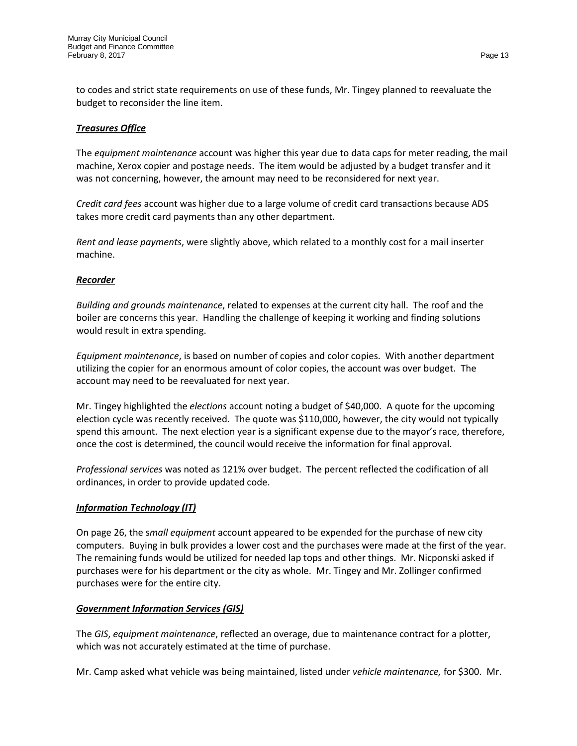to codes and strict state requirements on use of these funds, Mr. Tingey planned to reevaluate the budget to reconsider the line item.

# *Treasures Office*

The *equipment maintenance* account was higher this year due to data caps for meter reading, the mail machine, Xerox copier and postage needs. The item would be adjusted by a budget transfer and it was not concerning, however, the amount may need to be reconsidered for next year.

*Credit card fees* account was higher due to a large volume of credit card transactions because ADS takes more credit card payments than any other department.

*Rent and lease payments*, were slightly above, which related to a monthly cost for a mail inserter machine.

## *Recorder*

*Building and grounds maintenance*, related to expenses at the current city hall. The roof and the boiler are concerns this year. Handling the challenge of keeping it working and finding solutions would result in extra spending.

*Equipment maintenance*, is based on number of copies and color copies. With another department utilizing the copier for an enormous amount of color copies, the account was over budget. The account may need to be reevaluated for next year.

Mr. Tingey highlighted the *elections* account noting a budget of \$40,000. A quote for the upcoming election cycle was recently received. The quote was \$110,000, however, the city would not typically spend this amount. The next election year is a significant expense due to the mayor's race, therefore, once the cost is determined, the council would receive the information for final approval.

*Professional services* was noted as 121% over budget. The percent reflected the codification of all ordinances, in order to provide updated code.

## *Information Technology (IT)*

On page 26, the s*mall equipment* account appeared to be expended for the purchase of new city computers. Buying in bulk provides a lower cost and the purchases were made at the first of the year. The remaining funds would be utilized for needed lap tops and other things. Mr. Nicponski asked if purchases were for his department or the city as whole. Mr. Tingey and Mr. Zollinger confirmed purchases were for the entire city.

## *Government Information Services (GIS)*

The *GIS*, *equipment maintenance*, reflected an overage, due to maintenance contract for a plotter, which was not accurately estimated at the time of purchase.

Mr. Camp asked what vehicle was being maintained, listed under *vehicle maintenance,* for \$300. Mr.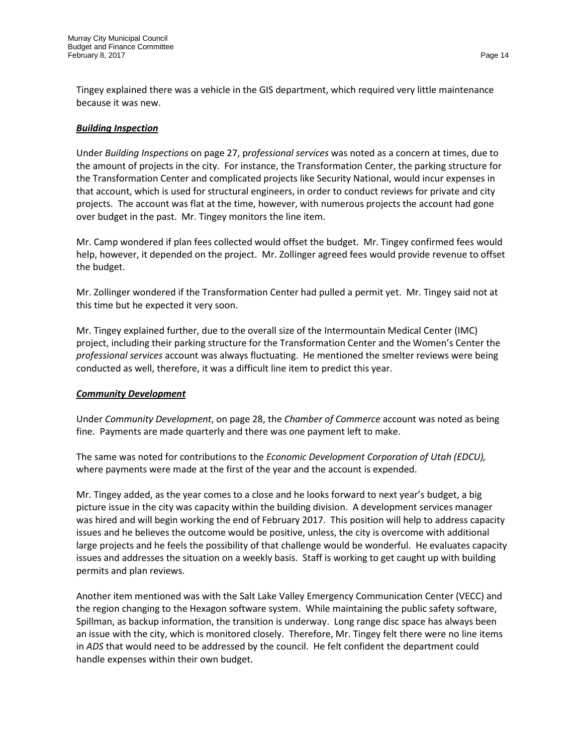Tingey explained there was a vehicle in the GIS department, which required very little maintenance because it was new.

# *Building Inspection*

Under *Building Inspections* on page 27, p*rofessional services* was noted as a concern at times, due to the amount of projects in the city. For instance, the Transformation Center, the parking structure for the Transformation Center and complicated projects like Security National, would incur expenses in that account, which is used for structural engineers, in order to conduct reviews for private and city projects. The account was flat at the time, however, with numerous projects the account had gone over budget in the past. Mr. Tingey monitors the line item.

Mr. Camp wondered if plan fees collected would offset the budget. Mr. Tingey confirmed fees would help, however, it depended on the project. Mr. Zollinger agreed fees would provide revenue to offset the budget.

Mr. Zollinger wondered if the Transformation Center had pulled a permit yet. Mr. Tingey said not at this time but he expected it very soon.

Mr. Tingey explained further, due to the overall size of the Intermountain Medical Center (IMC) project, including their parking structure for the Transformation Center and the Women's Center the *professional services* account was always fluctuating. He mentioned the smelter reviews were being conducted as well, therefore, it was a difficult line item to predict this year.

## *Community Development*

Under *Community Development*, on page 28, the *Chamber of Commerce* account was noted as being fine. Payments are made quarterly and there was one payment left to make.

The same was noted for contributions to the *Economic Development Corporation of Utah (EDCU),*  where payments were made at the first of the year and the account is expended.

Mr. Tingey added, as the year comes to a close and he looks forward to next year's budget, a big picture issue in the city was capacity within the building division. A development services manager was hired and will begin working the end of February 2017. This position will help to address capacity issues and he believes the outcome would be positive, unless, the city is overcome with additional large projects and he feels the possibility of that challenge would be wonderful. He evaluates capacity issues and addresses the situation on a weekly basis. Staff is working to get caught up with building permits and plan reviews.

Another item mentioned was with the Salt Lake Valley Emergency Communication Center (VECC) and the region changing to the Hexagon software system. While maintaining the public safety software, Spillman, as backup information, the transition is underway. Long range disc space has always been an issue with the city, which is monitored closely. Therefore, Mr. Tingey felt there were no line items in *ADS* that would need to be addressed by the council. He felt confident the department could handle expenses within their own budget.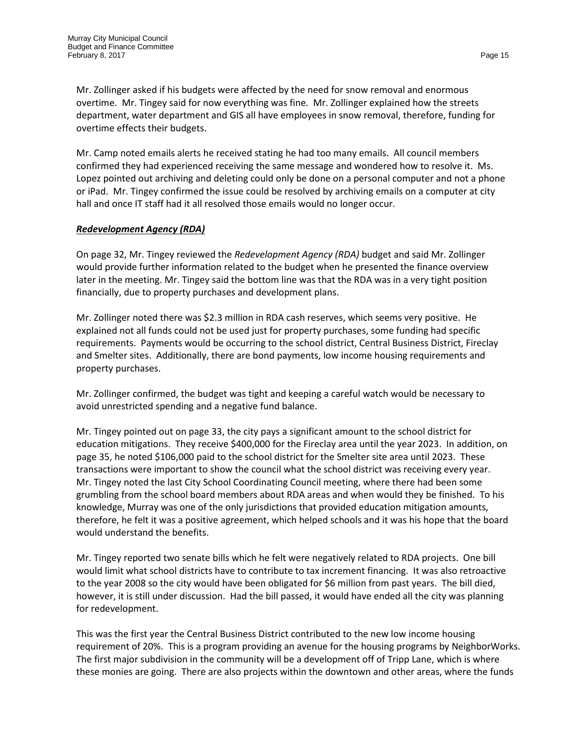Mr. Zollinger asked if his budgets were affected by the need for snow removal and enormous overtime. Mr. Tingey said for now everything was fine. Mr. Zollinger explained how the streets department, water department and GIS all have employees in snow removal, therefore, funding for overtime effects their budgets.

Mr. Camp noted emails alerts he received stating he had too many emails. All council members confirmed they had experienced receiving the same message and wondered how to resolve it. Ms. Lopez pointed out archiving and deleting could only be done on a personal computer and not a phone or iPad. Mr. Tingey confirmed the issue could be resolved by archiving emails on a computer at city hall and once IT staff had it all resolved those emails would no longer occur.

# *Redevelopment Agency (RDA)*

On page 32, Mr. Tingey reviewed the *Redevelopment Agency (RDA)* budget and said Mr. Zollinger would provide further information related to the budget when he presented the finance overview later in the meeting. Mr. Tingey said the bottom line was that the RDA was in a very tight position financially, due to property purchases and development plans.

Mr. Zollinger noted there was \$2.3 million in RDA cash reserves, which seems very positive. He explained not all funds could not be used just for property purchases, some funding had specific requirements. Payments would be occurring to the school district, Central Business District, Fireclay and Smelter sites. Additionally, there are bond payments, low income housing requirements and property purchases.

Mr. Zollinger confirmed, the budget was tight and keeping a careful watch would be necessary to avoid unrestricted spending and a negative fund balance.

Mr. Tingey pointed out on page 33, the city pays a significant amount to the school district for education mitigations. They receive \$400,000 for the Fireclay area until the year 2023. In addition, on page 35, he noted \$106,000 paid to the school district for the Smelter site area until 2023. These transactions were important to show the council what the school district was receiving every year. Mr. Tingey noted the last City School Coordinating Council meeting, where there had been some grumbling from the school board members about RDA areas and when would they be finished. To his knowledge, Murray was one of the only jurisdictions that provided education mitigation amounts, therefore, he felt it was a positive agreement, which helped schools and it was his hope that the board would understand the benefits.

Mr. Tingey reported two senate bills which he felt were negatively related to RDA projects. One bill would limit what school districts have to contribute to tax increment financing. It was also retroactive to the year 2008 so the city would have been obligated for \$6 million from past years. The bill died, however, it is still under discussion. Had the bill passed, it would have ended all the city was planning for redevelopment.

This was the first year the Central Business District contributed to the new low income housing requirement of 20%. This is a program providing an avenue for the housing programs by NeighborWorks. The first major subdivision in the community will be a development off of Tripp Lane, which is where these monies are going. There are also projects within the downtown and other areas, where the funds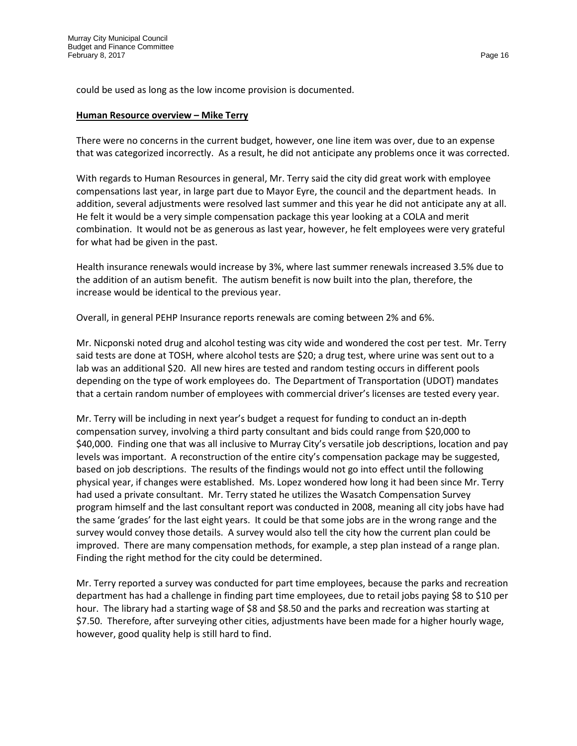could be used as long as the low income provision is documented.

#### **Human Resource overview – Mike Terry**

There were no concerns in the current budget, however, one line item was over, due to an expense that was categorized incorrectly. As a result, he did not anticipate any problems once it was corrected.

With regards to Human Resources in general, Mr. Terry said the city did great work with employee compensations last year, in large part due to Mayor Eyre, the council and the department heads. In addition, several adjustments were resolved last summer and this year he did not anticipate any at all. He felt it would be a very simple compensation package this year looking at a COLA and merit combination. It would not be as generous as last year, however, he felt employees were very grateful for what had be given in the past.

Health insurance renewals would increase by 3%, where last summer renewals increased 3.5% due to the addition of an autism benefit. The autism benefit is now built into the plan, therefore, the increase would be identical to the previous year.

Overall, in general PEHP Insurance reports renewals are coming between 2% and 6%.

Mr. Nicponski noted drug and alcohol testing was city wide and wondered the cost per test. Mr. Terry said tests are done at TOSH, where alcohol tests are \$20; a drug test, where urine was sent out to a lab was an additional \$20. All new hires are tested and random testing occurs in different pools depending on the type of work employees do. The Department of Transportation (UDOT) mandates that a certain random number of employees with commercial driver's licenses are tested every year.

Mr. Terry will be including in next year's budget a request for funding to conduct an in-depth compensation survey, involving a third party consultant and bids could range from \$20,000 to \$40,000. Finding one that was all inclusive to Murray City's versatile job descriptions, location and pay levels was important. A reconstruction of the entire city's compensation package may be suggested, based on job descriptions. The results of the findings would not go into effect until the following physical year, if changes were established. Ms. Lopez wondered how long it had been since Mr. Terry had used a private consultant. Mr. Terry stated he utilizes the Wasatch Compensation Survey program himself and the last consultant report was conducted in 2008, meaning all city jobs have had the same 'grades' for the last eight years. It could be that some jobs are in the wrong range and the survey would convey those details. A survey would also tell the city how the current plan could be improved. There are many compensation methods, for example, a step plan instead of a range plan. Finding the right method for the city could be determined.

Mr. Terry reported a survey was conducted for part time employees, because the parks and recreation department has had a challenge in finding part time employees, due to retail jobs paying \$8 to \$10 per hour. The library had a starting wage of \$8 and \$8.50 and the parks and recreation was starting at \$7.50. Therefore, after surveying other cities, adjustments have been made for a higher hourly wage, however, good quality help is still hard to find.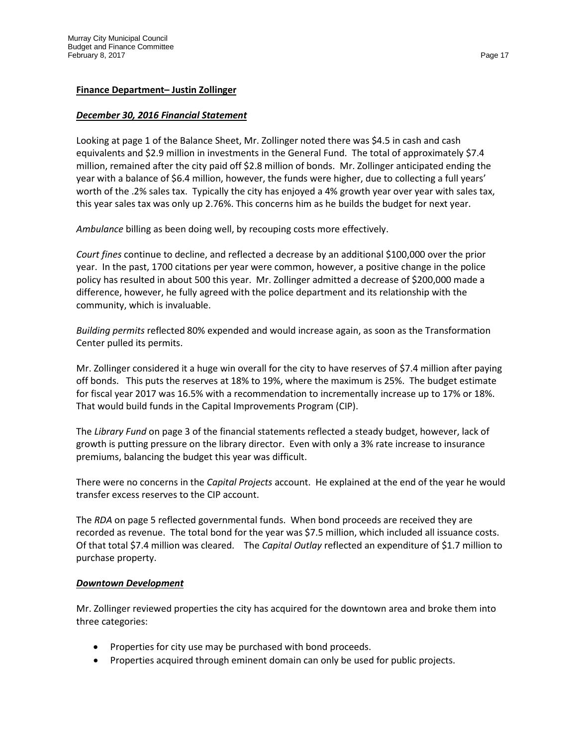#### **Finance Department– Justin Zollinger**

#### *December 30, 2016 Financial Statement*

Looking at page 1 of the Balance Sheet, Mr. Zollinger noted there was \$4.5 in cash and cash equivalents and \$2.9 million in investments in the General Fund. The total of approximately \$7.4 million, remained after the city paid off \$2.8 million of bonds. Mr. Zollinger anticipated ending the year with a balance of \$6.4 million, however, the funds were higher, due to collecting a full years' worth of the .2% sales tax. Typically the city has enjoyed a 4% growth year over year with sales tax, this year sales tax was only up 2.76%. This concerns him as he builds the budget for next year.

*Ambulance* billing as been doing well, by recouping costs more effectively.

*Court fines* continue to decline, and reflected a decrease by an additional \$100,000 over the prior year. In the past, 1700 citations per year were common, however, a positive change in the police policy has resulted in about 500 this year. Mr. Zollinger admitted a decrease of \$200,000 made a difference, however, he fully agreed with the police department and its relationship with the community, which is invaluable.

*Building permits* reflected 80% expended and would increase again, as soon as the Transformation Center pulled its permits.

Mr. Zollinger considered it a huge win overall for the city to have reserves of \$7.4 million after paying off bonds. This puts the reserves at 18% to 19%, where the maximum is 25%. The budget estimate for fiscal year 2017 was 16.5% with a recommendation to incrementally increase up to 17% or 18%. That would build funds in the Capital Improvements Program (CIP).

The *Library Fund* on page 3 of the financial statements reflected a steady budget, however, lack of growth is putting pressure on the library director. Even with only a 3% rate increase to insurance premiums, balancing the budget this year was difficult.

There were no concerns in the *Capital Projects* account. He explained at the end of the year he would transfer excess reserves to the CIP account.

The *RDA* on page 5 reflected governmental funds. When bond proceeds are received they are recorded as revenue. The total bond for the year was \$7.5 million, which included all issuance costs. Of that total \$7.4 million was cleared. The *Capital Outlay* reflected an expenditure of \$1.7 million to purchase property.

#### *Downtown Development*

Mr. Zollinger reviewed properties the city has acquired for the downtown area and broke them into three categories:

- Properties for city use may be purchased with bond proceeds.
- Properties acquired through eminent domain can only be used for public projects.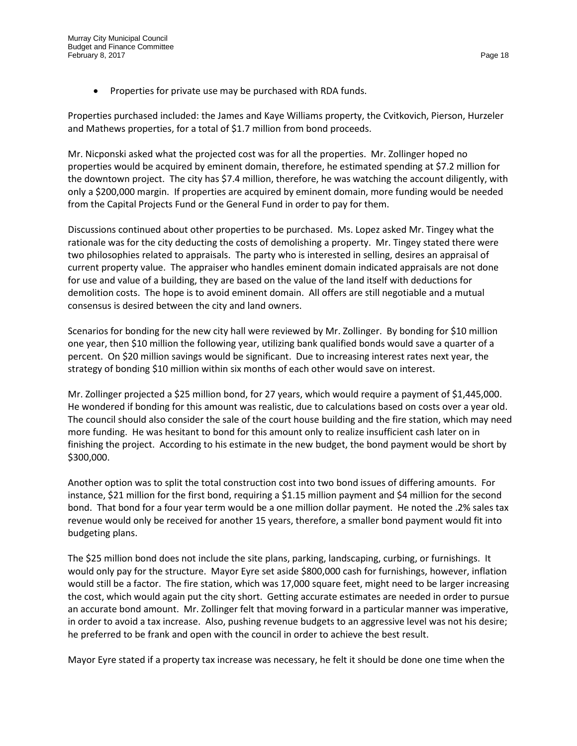• Properties for private use may be purchased with RDA funds.

Properties purchased included: the James and Kaye Williams property, the Cvitkovich, Pierson, Hurzeler and Mathews properties, for a total of \$1.7 million from bond proceeds.

Mr. Nicponski asked what the projected cost was for all the properties. Mr. Zollinger hoped no properties would be acquired by eminent domain, therefore, he estimated spending at \$7.2 million for the downtown project. The city has \$7.4 million, therefore, he was watching the account diligently, with only a \$200,000 margin. If properties are acquired by eminent domain, more funding would be needed from the Capital Projects Fund or the General Fund in order to pay for them.

Discussions continued about other properties to be purchased. Ms. Lopez asked Mr. Tingey what the rationale was for the city deducting the costs of demolishing a property. Mr. Tingey stated there were two philosophies related to appraisals. The party who is interested in selling, desires an appraisal of current property value. The appraiser who handles eminent domain indicated appraisals are not done for use and value of a building, they are based on the value of the land itself with deductions for demolition costs. The hope is to avoid eminent domain. All offers are still negotiable and a mutual consensus is desired between the city and land owners.

Scenarios for bonding for the new city hall were reviewed by Mr. Zollinger. By bonding for \$10 million one year, then \$10 million the following year, utilizing bank qualified bonds would save a quarter of a percent. On \$20 million savings would be significant. Due to increasing interest rates next year, the strategy of bonding \$10 million within six months of each other would save on interest.

Mr. Zollinger projected a \$25 million bond, for 27 years, which would require a payment of \$1,445,000. He wondered if bonding for this amount was realistic, due to calculations based on costs over a year old. The council should also consider the sale of the court house building and the fire station, which may need more funding. He was hesitant to bond for this amount only to realize insufficient cash later on in finishing the project. According to his estimate in the new budget, the bond payment would be short by \$300,000.

Another option was to split the total construction cost into two bond issues of differing amounts. For instance, \$21 million for the first bond, requiring a \$1.15 million payment and \$4 million for the second bond. That bond for a four year term would be a one million dollar payment. He noted the .2% sales tax revenue would only be received for another 15 years, therefore, a smaller bond payment would fit into budgeting plans.

The \$25 million bond does not include the site plans, parking, landscaping, curbing, or furnishings. It would only pay for the structure. Mayor Eyre set aside \$800,000 cash for furnishings, however, inflation would still be a factor. The fire station, which was 17,000 square feet, might need to be larger increasing the cost, which would again put the city short. Getting accurate estimates are needed in order to pursue an accurate bond amount. Mr. Zollinger felt that moving forward in a particular manner was imperative, in order to avoid a tax increase. Also, pushing revenue budgets to an aggressive level was not his desire; he preferred to be frank and open with the council in order to achieve the best result.

Mayor Eyre stated if a property tax increase was necessary, he felt it should be done one time when the